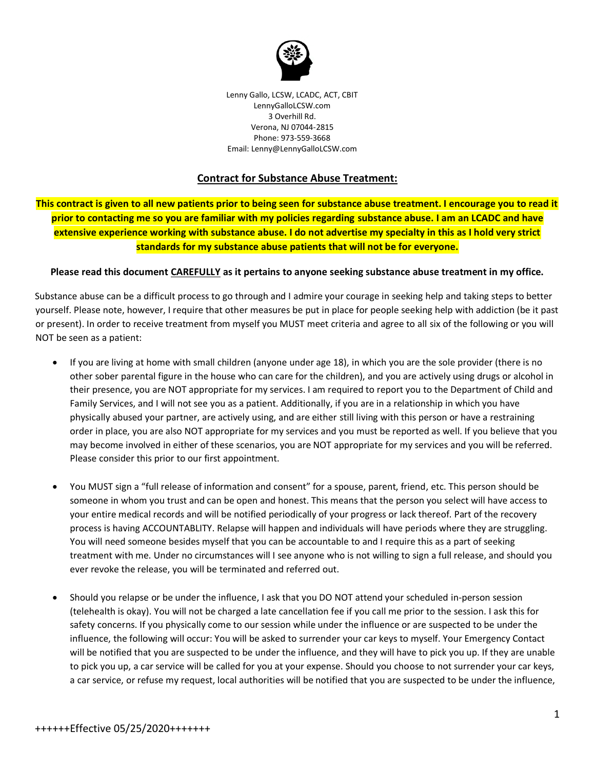

Lenny Gallo, LCSW, LCADC, ACT, CBIT LennyGalloLCSW.com 3 Overhill Rd. Verona, NJ 07044-2815 Phone: 973-559-3668 Email: Lenny@LennyGalloLCSW.com

## **Contract for Substance Abuse Treatment:**

**This contract is given to all new patients prior to being seen for substance abuse treatment. I encourage you to read it prior to contacting me so you are familiar with my policies regarding substance abuse. I am an LCADC and have extensive experience working with substance abuse. I do not advertise my specialty in this as I hold very strict standards for my substance abuse patients that will not be for everyone.**

## **Please read this document CAREFULLY as it pertains to anyone seeking substance abuse treatment in my office.**

Substance abuse can be a difficult process to go through and I admire your courage in seeking help and taking steps to better yourself. Please note, however, I require that other measures be put in place for people seeking help with addiction (be it past or present). In order to receive treatment from myself you MUST meet criteria and agree to all six of the following or you will NOT be seen as a patient:

- If you are living at home with small children (anyone under age 18), in which you are the sole provider (there is no other sober parental figure in the house who can care for the children), and you are actively using drugs or alcohol in their presence, you are NOT appropriate for my services. I am required to report you to the Department of Child and Family Services, and I will not see you as a patient. Additionally, if you are in a relationship in which you have physically abused your partner, are actively using, and are either still living with this person or have a restraining order in place, you are also NOT appropriate for my services and you must be reported as well. If you believe that you may become involved in either of these scenarios, you are NOT appropriate for my services and you will be referred. Please consider this prior to our first appointment.
- You MUST sign a "full release of information and consent" for a spouse, parent, friend, etc. This person should be someone in whom you trust and can be open and honest. This means that the person you select will have access to your entire medical records and will be notified periodically of your progress or lack thereof. Part of the recovery process is having ACCOUNTABLITY. Relapse will happen and individuals will have periods where they are struggling. You will need someone besides myself that you can be accountable to and I require this as a part of seeking treatment with me. Under no circumstances will I see anyone who is not willing to sign a full release, and should you ever revoke the release, you will be terminated and referred out.
- Should you relapse or be under the influence, I ask that you DO NOT attend your scheduled in-person session (telehealth is okay). You will not be charged a late cancellation fee if you call me prior to the session. I ask this for safety concerns. If you physically come to our session while under the influence or are suspected to be under the influence, the following will occur: You will be asked to surrender your car keys to myself. Your Emergency Contact will be notified that you are suspected to be under the influence, and they will have to pick you up. If they are unable to pick you up, a car service will be called for you at your expense. Should you choose to not surrender your car keys, a car service, or refuse my request, local authorities will be notified that you are suspected to be under the influence,